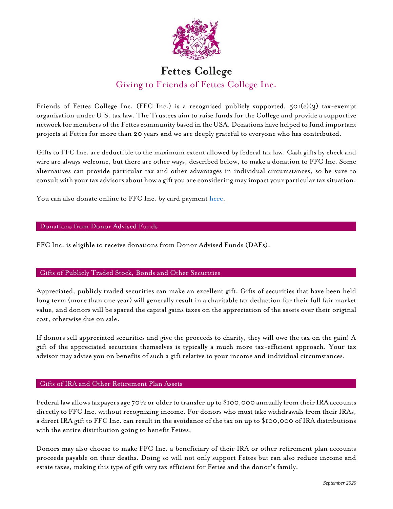

# **Fettes College** Giving to Friends of Fettes College Inc.

Friends of Fettes College Inc. (FFC Inc.) is a recognised publicly supported,  $50I(c)(3)$  tax-exempt organisation under U.S. tax law. The Trustees aim to raise funds for the College and provide a supportive network for members of the Fettes community based in the USA. Donations have helped to fund important projects at Fettes for more than 20 years and we are deeply grateful to everyone who has contributed.

Gifts to FFC Inc. are deductible to the maximum extent allowed by federal tax law. Cash gifts by check and wire are always welcome, but there are other ways, described below, to make a donation to FFC Inc. Some alternatives can provide particular tax and other advantages in individual circumstances, so be sure to consult with your tax advisors about how a gift you are considering may impact your particular tax situation.

You can also donate online to FFC Inc. by card payment [here.](https://www.fettes.com/familyforlife/foundation/usadonation)

## Donations from Donor Advised Funds

FFC Inc. is eligible to receive donations from Donor Advised Funds (DAFs).

# Gifts of Publicly Traded Stock, Bonds and Other Securities

Appreciated, publicly traded securities can make an excellent gift. Gifts of securities that have been held long term (more than one year) will generally result in a charitable tax deduction for their full fair market value, and donors will be spared the capital gains taxes on the appreciation of the assets over their original cost, otherwise due on sale.

If donors sell appreciated securities and give the proceeds to charity, they will owe the tax on the gain! A gift of the appreciated securities themselves is typically a much more tax-efficient approach. Your tax advisor may advise you on benefits of such a gift relative to your income and individual circumstances.

# Gifts of IRA and Other Retirement Plan Assets

Federal law allows taxpayers age 70½ or older to transfer up to \$100,000 annually from their IRA accounts directly to FFC Inc. without recognizing income. For donors who must take withdrawals from their IRAs, a direct IRA gift to FFC Inc. can result in the avoidance of the tax on up to \$100,000 of IRA distributions with the entire distribution going to benefit Fettes.

Donors may also choose to make FFC Inc. a beneficiary of their IRA or other retirement plan accounts proceeds payable on their deaths. Doing so will not only support Fettes but can also reduce income and estate taxes, making this type of gift very tax efficient for Fettes and the donor's family.